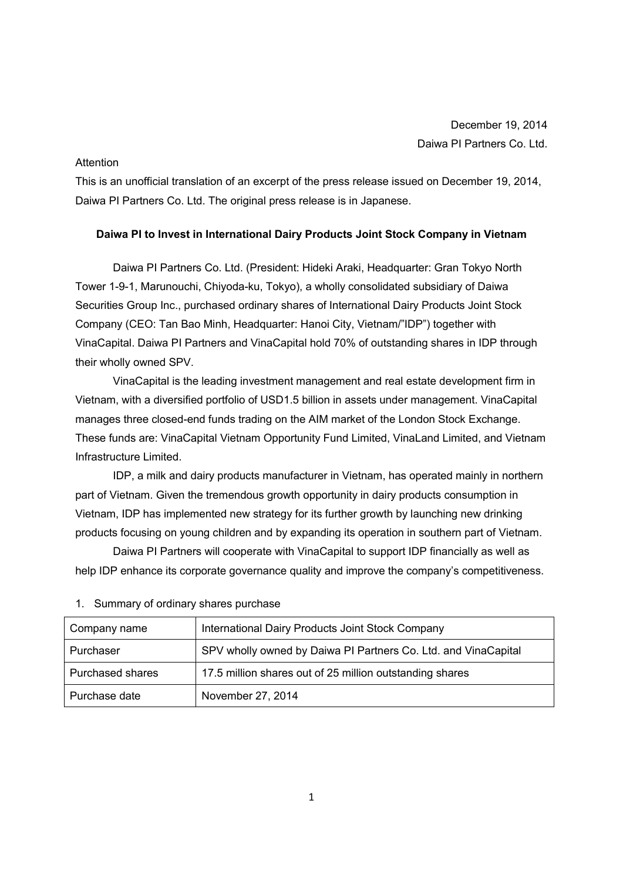## Attention

This is an unofficial translation of an excerpt of the press release issued on December 19, 2014, Daiwa PI Partners Co. Ltd. The original press release is in Japanese.

## **Daiwa PI to Invest in International Dairy Products Joint Stock Company in Vietnam**

Daiwa PI Partners Co. Ltd. (President: Hideki Araki, Headquarter: Gran Tokyo North Tower 1-9-1, Marunouchi, Chiyoda-ku, Tokyo), a wholly consolidated subsidiary of Daiwa Securities Group Inc., purchased ordinary shares of International Dairy Products Joint Stock Company (CEO: Tan Bao Minh, Headquarter: Hanoi City, Vietnam/"IDP") together with VinaCapital. Daiwa PI Partners and VinaCapital hold 70% of outstanding shares in IDP through their wholly owned SPV.

VinaCapital is the leading investment management and real estate development firm in Vietnam, with a diversified portfolio of USD1.5 billion in assets under management. VinaCapital manages three closed-end funds trading on the AIM market of the London Stock Exchange. These funds are: VinaCapital Vietnam Opportunity Fund Limited, VinaLand Limited, and Vietnam Infrastructure Limited.

IDP, a milk and dairy products manufacturer in Vietnam, has operated mainly in northern part of Vietnam. Given the tremendous growth opportunity in dairy products consumption in Vietnam, IDP has implemented new strategy for its further growth by launching new drinking products focusing on young children and by expanding its operation in southern part of Vietnam.

Daiwa PI Partners will cooperate with VinaCapital to support IDP financially as well as help IDP enhance its corporate governance quality and improve the company's competitiveness.

| Company name     | International Dairy Products Joint Stock Company               |
|------------------|----------------------------------------------------------------|
| Purchaser        | SPV wholly owned by Daiwa PI Partners Co. Ltd. and VinaCapital |
| Purchased shares | 17.5 million shares out of 25 million outstanding shares       |
| Purchase date    | November 27, 2014                                              |

1. Summary of ordinary shares purchase